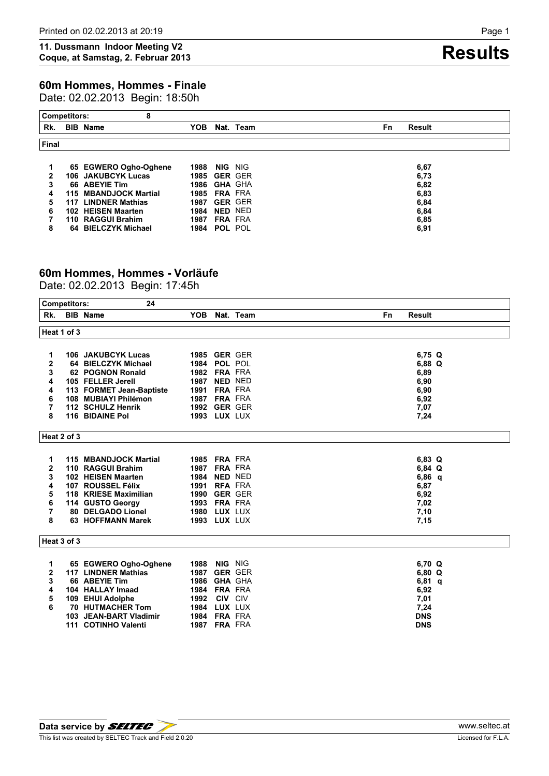Date: 02.02.2013 Begin: 18:50h

| <b>Competitors:</b> |     | 8                      |            |                     |                |                      |
|---------------------|-----|------------------------|------------|---------------------|----------------|----------------------|
| Rk.                 |     | <b>BIB</b> Name        | <b>YOB</b> |                     | Nat. Team      | <b>Result</b><br>Fn. |
| <b>Final</b>        |     |                        |            |                     |                |                      |
|                     |     | 65 EGWERO Ogho-Oghene  | 1988       | NIG.                | NIG            | 6,67                 |
| 2                   |     | 106 JAKUBCYK Lucas     |            | <b>1985 GER GER</b> |                | 6,73                 |
| 3                   |     | 66 ABEYIE Tim          |            | 1986 GHA GHA        |                | 6,82                 |
| 4                   |     | 115 MBANDJOCK Martial  | 1985       | <b>FRA FRA</b>      |                | 6,83                 |
| 5                   | 117 | <b>LINDNER Mathias</b> | 1987       |                     | <b>GER GER</b> | 6,84                 |
| 6                   |     | 102 HEISEN Maarten     | 1984       | NED NED             |                | 6,84                 |
|                     |     | 110 RAGGUI Brahim      | 1987       | <b>FRA FRA</b>      |                | 6,85                 |
| 8                   |     | 64 BIELCZYK Michael    |            | <b>1984 POL POL</b> |                | 6,91                 |

# **60m Hommes, Hommes - Vorläufe**

Date: 02.02.2013 Begin: 17:45h

|                  | <b>Competitors:</b> | 24                                                  |                     |                |           |              |
|------------------|---------------------|-----------------------------------------------------|---------------------|----------------|-----------|--------------|
| Rk.              |                     | <b>BIB</b> Name                                     | YOB.                |                | Nat. Team | Fn<br>Result |
|                  | Heat 1 of 3         |                                                     |                     |                |           |              |
|                  |                     |                                                     |                     |                |           |              |
|                  |                     |                                                     |                     |                |           |              |
| 1                |                     | <b>106 JAKUBCYK Lucas</b>                           | <b>1985 GER GER</b> |                |           | $6,75$ Q     |
| $\overline{2}$   |                     | 64 BIELCZYK Michael                                 | <b>1984 POL POL</b> |                |           | $6,88$ Q     |
| 3                |                     | 62 POGNON Ronald                                    | <b>1982 FRA FRA</b> |                |           | 6,89         |
| 4                |                     | 105 FELLER Jerell                                   | 1987                | <b>NED NED</b> |           | 6,90         |
| 4                |                     | 113 FORMET Jean-Baptiste                            | 1991                | <b>FRA FRA</b> |           | 6,90         |
| 6                |                     | 108 MUBIAYI Philémon                                | 1987 FRA FRA        |                |           | 6,92         |
| 7                |                     | 112 SCHULZ Henrik                                   | <b>1992 GER GER</b> |                |           | 7,07         |
| 8                |                     | 116 BIDAINE Pol                                     | <b>1993 LUX LUX</b> |                |           | 7,24         |
|                  | Heat 2 of 3         |                                                     |                     |                |           |              |
|                  |                     |                                                     |                     |                |           |              |
| 1                |                     | 115 MBANDJOCK Martial                               | <b>1985 FRA FRA</b> |                |           | $6,83$ Q     |
| 2                |                     | 110 RAGGUI Brahim                                   | 1987 FRA FRA        |                |           | $6,84$ Q     |
| 3                |                     | 102 HEISEN Maarten                                  | 1984                | <b>NED NED</b> |           | $6,86$ q     |
| 4                |                     | 107 ROUSSEL Félix                                   | <b>1991 RFA FRA</b> |                |           | 6,87         |
| 5                |                     | 118 KRIESE Maximilian                               | 1990 GER GER        |                |           | 6,92         |
| 6                |                     | 114 GUSTO Georgy                                    | <b>1993 FRA FRA</b> |                |           | 7,02         |
| 7                |                     | 80 DELGADO Lionel                                   | 1980                | LUX LUX        |           | 7,10         |
| 8                |                     | 63 HOFFMANN Marek                                   | <b>1993 LUX LUX</b> |                |           | 7,15         |
|                  | Heat 3 of 3         |                                                     |                     |                |           |              |
|                  |                     |                                                     |                     |                |           |              |
| 1                |                     | 65 EGWERO Ogho-Oghene<br><b>117 LINDNER Mathias</b> | 1988<br>1987        | NIG NIG        |           | 6,70 Q       |
| $\mathbf 2$<br>3 |                     | 66 ABEYIE Tim                                       |                     | <b>GER GER</b> |           | 6,80 Q       |
|                  |                     |                                                     | 1986                | <b>GHA GHA</b> |           | $6,81$ q     |
| 4                |                     | 104 HALLAY Imaad                                    | 1984 FRA FRA        |                |           | 6,92         |
| 5<br>6           |                     | 109 EHUI Adolphe                                    | 1992                | <b>CIV CIV</b> |           | 7,01         |
|                  |                     | <b>70 HUTMACHER Tom</b>                             | 1984                | LUX LUX        |           | 7,24         |
|                  |                     | 103 JEAN-BART Vladimir                              | 1984 FRA FRA        |                |           | <b>DNS</b>   |
|                  |                     | 111 COTINHO Valenti                                 | 1987                | <b>FRA FRA</b> |           | <b>DNS</b>   |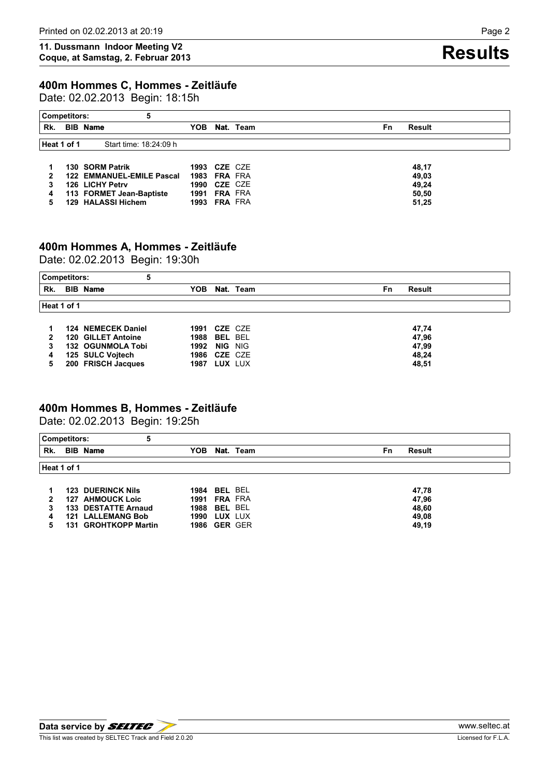Date: 02.02.2013 Begin: 18:15h

| <b>Competitors:</b> | 5                         |                     |                     |           |                     |
|---------------------|---------------------------|---------------------|---------------------|-----------|---------------------|
| Rk.                 | <b>BIB</b> Name           | YOB                 |                     | Nat. Team | <b>Result</b><br>Fn |
| Heat 1 of 1         | Start time: 18:24:09 h    |                     |                     |           |                     |
|                     |                           |                     |                     |           |                     |
|                     | 130 SORM Patrik           |                     | <b>1993 CZE CZE</b> |           | 48,17               |
|                     | 122 EMMANUEL-EMILE Pascal |                     | <b>1983 FRA FRA</b> |           | 49,03               |
| 3                   | 126 LICHY Petry           |                     | <b>1990 CZE CZE</b> |           | 49,24               |
| 4                   | 113 FORMET Jean-Baptiste  |                     | <b>1991 FRA FRA</b> |           | 50.50               |
| 5                   | 129 HALASSI Hichem        | <b>1993 FRA FRA</b> |                     |           | 51,25               |

## **400m Hommes A, Hommes - Zeitläufe**

Date: 02.02.2013 Begin: 19:30h

| <b>Competitors:</b> |                    |                     |                |           |    |               |
|---------------------|--------------------|---------------------|----------------|-----------|----|---------------|
| Rk.                 | <b>BIB Name</b>    | ҮОВ                 |                | Nat. Team | Fn | <b>Result</b> |
| Heat 1 of 1         |                    |                     |                |           |    |               |
|                     |                    |                     |                |           |    |               |
|                     | 124 NEMECEK Daniel | 1991                | CZE CZE        |           |    | 47,74         |
| 2                   | 120 GILLET Antoine | 1988                | <b>BEL BEL</b> |           |    | 47,96         |
|                     | 132 OGUNMOLA Tobi  | 1992                | NIG NIG        |           |    | 47,99         |
| 4                   | 125 SULC Vojtech   | <b>1986 CZE CZE</b> |                |           |    | 48,24         |
| 5                   | 200 FRISCH Jacques | 1987                | LUX LUX        |           |    | 48.51         |

# **400m Hommes B, Hommes - Zeitläufe**

Date: 02.02.2013 Begin: 19:25h

|     | 5<br><b>Competitors:</b> |                     |                     |
|-----|--------------------------|---------------------|---------------------|
| Rk. | <b>BIB Name</b>          | YOB.<br>Nat. Team   | <b>Result</b><br>Fn |
|     | Heat 1 of 1              |                     |                     |
|     |                          |                     |                     |
|     | <b>123 DUERINCK Nils</b> | <b>1984 BEL BEL</b> | 47,78               |
| 2   | 127 AHMOUCK Loic         | <b>1991 FRA FRA</b> | 47,96               |
| 3   | 133 DESTATTE Arnaud      | <b>1988 BEL BEL</b> | 48,60               |
| 4   | <b>121 LALLEMANG Bob</b> | LUX LUX<br>1990     | 49.08               |
|     | 131 GROHTKOPP Martin     | <b>1986 GER GER</b> | 49.19               |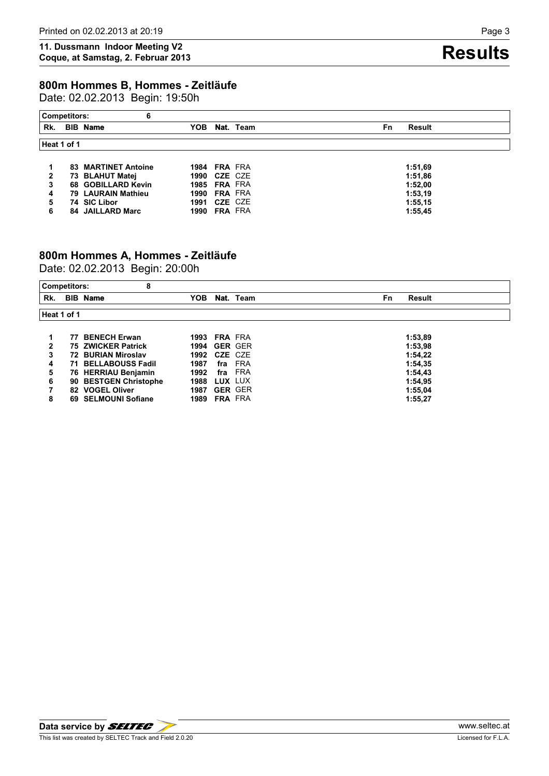# **800m Hommes B, Hommes - Zeitläufe**

Date: 02.02.2013 Begin: 19:50h

| 6<br><b>Competitors:</b> |  |                            |      |                     |                     |  |  |  |  |  |  |
|--------------------------|--|----------------------------|------|---------------------|---------------------|--|--|--|--|--|--|
| Rk.                      |  | <b>BIB Name</b>            | YOB. | Nat. Team           | Result<br><b>Fn</b> |  |  |  |  |  |  |
| Heat 1 of 1              |  |                            |      |                     |                     |  |  |  |  |  |  |
|                          |  |                            |      |                     |                     |  |  |  |  |  |  |
|                          |  | <b>83 MARTINET Antoine</b> |      | <b>1984 FRA FRA</b> | 1:51.69             |  |  |  |  |  |  |
| 2                        |  | 73 BLAHUT Matej            |      | <b>1990 CZE CZE</b> | 1:51.86             |  |  |  |  |  |  |
| 3                        |  | 68 GOBILLARD Kevin         |      | <b>1985 FRA FRA</b> | 1:52.00             |  |  |  |  |  |  |
| 4                        |  | 79 LAURAIN Mathieu         |      | <b>1990 FRA FRA</b> | 1:53.19             |  |  |  |  |  |  |
| 5                        |  | 74 SIC Libor               |      | <b>1991 CZE CZE</b> | 1:55.15             |  |  |  |  |  |  |
| 6                        |  | 84 JAILLARD Marc           | 1990 | <b>FRA FRA</b>      | 1:55.45             |  |  |  |  |  |  |

# **800m Hommes A, Hommes - Zeitläufe**

Date: 02.02.2013 Begin: 20:00h

| <b>Competitors:</b> | 8                          |                     |                |           |    |               |
|---------------------|----------------------------|---------------------|----------------|-----------|----|---------------|
| Rk.                 | <b>BIB Name</b>            | YOB.                |                | Nat. Team | Fn | <b>Result</b> |
| Heat 1 of 1         |                            |                     |                |           |    |               |
|                     | 77 BENECH Erwan            | <b>1993 FRA FRA</b> |                |           |    | 1:53,89       |
| $\mathbf{2}$        | <b>75 ZWICKER Patrick</b>  | <b>1994 GER GER</b> |                |           |    | 1:53,98       |
| 3                   | 72 BURIAN Miroslav         | <b>1992 CZE CZE</b> |                |           |    | 1:54,22       |
| 4                   | <b>71 BELLABOUSS Fadil</b> | 1987                |                | fra FRA   |    | 1:54,35       |
| 5                   | 76 HERRIAU Benjamin        | 1992                |                | fra FRA   |    | 1:54,43       |
| 6                   | 90 BESTGEN Christophe      | 1988                | LUX LUX        |           |    | 1:54,95       |
|                     | 82 VOGEL Oliver            | 1987                | <b>GER GER</b> |           |    | 1:55,04       |
| 8                   | 69 SELMOUNI Sofiane        | <b>1989 FRA FRA</b> |                |           |    | 1:55,27       |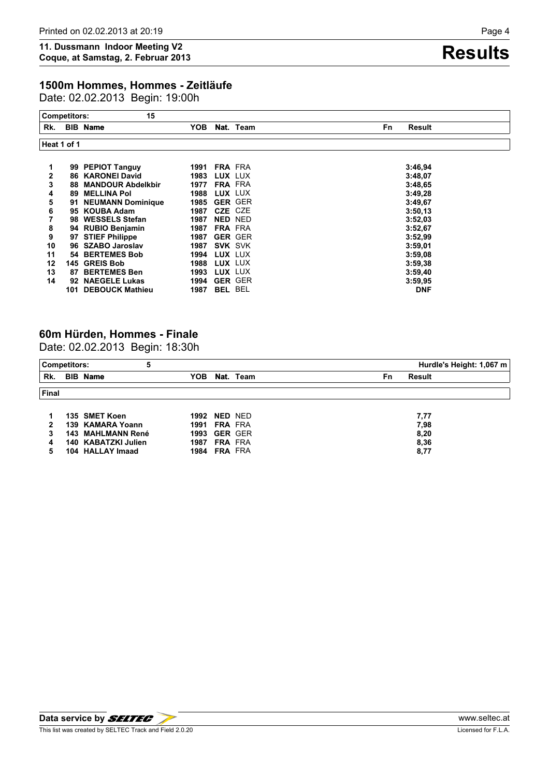## **1500m Hommes, Hommes - Zeitläufe**

Date: 02.02.2013 Begin: 19:00h

|     | <b>Competitors:</b> | 15                                   |              |                           |                |                     |
|-----|---------------------|--------------------------------------|--------------|---------------------------|----------------|---------------------|
| Rk. |                     | <b>BIB</b> Name                      | YOB          |                           | Nat. Team      | Fn<br><b>Result</b> |
|     | Heat 1 of 1         |                                      |              |                           |                |                     |
| 2   |                     | 99 PEPIOT Tanguy<br>86 KARONEI David | 1991<br>1983 | <b>FRA FRA</b><br>LUX LUX |                | 3:46,94             |
| 3   |                     | <b>88 MANDOUR Abdelkbir</b>          | 1977         | <b>FRA FRA</b>            |                | 3:48,07<br>3:48,65  |
| 4   |                     | <b>89 MELLINA Pol</b>                | 1988         | LUX LUX                   |                | 3:49,28             |
| 5   |                     | 91 NEUMANN Dominique                 | 1985         |                           | <b>GER GER</b> | 3:49,67             |
| 6   |                     | 95 KOUBA Adam                        | 1987         | CZE CZE                   |                | 3:50,13             |
|     |                     | 98 WESSELS Stefan                    | 1987         |                           | NED NED        | 3:52.03             |
| 8   |                     | 94 RUBIO Benjamin                    | 1987         | <b>FRA FRA</b>            |                | 3:52,67             |
| 9   |                     | 97 STIEF Philippe                    | 1987         |                           | <b>GER GER</b> | 3:52.99             |
| 10  |                     | 96 SZABO Jaroslav                    | 1987         |                           | <b>SVK SVK</b> | 3:59.01             |
| 11  |                     | 54 BERTEMES Bob                      | 1994         | LUX LUX                   |                | 3:59.08             |
| 12  |                     | 145 GREIS Bob                        | 1988         | LUX LUX                   |                | 3:59.38             |
| 13  |                     | 87 BERTEMES Ben                      | 1993         | LUX LUX                   |                | 3:59,40             |
| 14  |                     | 92 NAEGELE Lukas                     | 1994         |                           | <b>GER GER</b> | 3:59.95             |
|     |                     | 101 DEBOUCK Mathieu                  | 1987         | <b>BEL BEL</b>            |                | <b>DNF</b>          |

## **60m Hürden, Hommes - Finale**

Date: 02.02.2013 Begin: 18:30h

| Hurdle's Height: 1,067 m<br><b>Competitors:</b><br>5 |  |                     |      |                     |                     |  |  |  |  |  |
|------------------------------------------------------|--|---------------------|------|---------------------|---------------------|--|--|--|--|--|
| Rk.                                                  |  | <b>BIB</b> Name     | YOB. | Nat. Team           | <b>Result</b><br>Fn |  |  |  |  |  |
| <b>Final</b>                                         |  |                     |      |                     |                     |  |  |  |  |  |
|                                                      |  | 135 SMET Koen       | 1992 | NED NED             | 7,77                |  |  |  |  |  |
| 2                                                    |  | 139 KAMARA Yoann    |      | <b>1991 FRA FRA</b> | 7,98                |  |  |  |  |  |
| 3                                                    |  | 143 MAHLMANN René   |      | <b>1993 GER GER</b> | 8,20                |  |  |  |  |  |
| 4                                                    |  | 140 KABATZKI Julien | 1987 | <b>FRA FRA</b>      | 8,36                |  |  |  |  |  |
| 5                                                    |  | 104 HALLAY Imaad    |      | <b>1984 FRA FRA</b> | 8,77                |  |  |  |  |  |

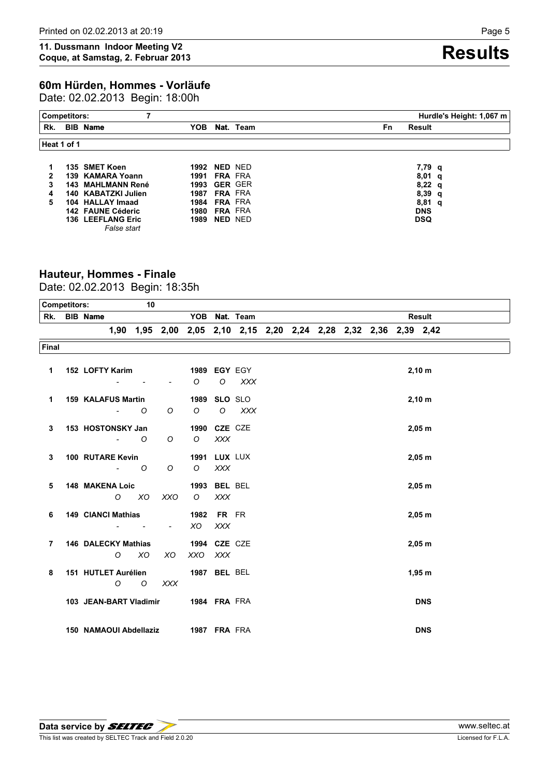# **60m Hürden, Hommes - Vorläufe**

Date: 02.02.2013 Begin: 18:00h

| Hurdle's Height: 1,067 m<br><b>Competitors:</b> |  |                                         |                     |                |           |           |                  |  |  |
|-------------------------------------------------|--|-----------------------------------------|---------------------|----------------|-----------|-----------|------------------|--|--|
| Rk.                                             |  | <b>BIB Name</b>                         | YOB                 |                | Nat. Team | <b>Fn</b> | Result           |  |  |
| Heat 1 of 1                                     |  |                                         |                     |                |           |           |                  |  |  |
|                                                 |  | 135 SMET Koen                           | 1992                | NED NED        |           |           | 7,79 q           |  |  |
| $\mathbf{2}$                                    |  | 139 KAMARA Yoann                        | 1991                | <b>FRA FRA</b> |           |           | 8,01<br>- q      |  |  |
| 3                                               |  | 143 MAHLMANN René                       | <b>1993 GER GER</b> |                |           |           | $8,22 \text{ q}$ |  |  |
| 4                                               |  | 140 KABATZKI Julien                     | 1987                | <b>FRA FRA</b> |           |           | 8,39<br>q        |  |  |
| 5                                               |  | 104 HALLAY Imaad                        | 1984                | <b>FRA FRA</b> |           |           | 8,81<br>- q      |  |  |
|                                                 |  | 142 FAUNE Céderic                       | 1980                | <b>FRA FRA</b> |           |           | <b>DNS</b>       |  |  |
|                                                 |  | <b>136 LEEFLANG Eric</b><br>False start | 1989                | NED NED        |           |           | <b>DSQ</b>       |  |  |

# **Hauteur, Hommes - Finale**

Date: 02.02.2013 Begin: 18:35h

| <b>Competitors:</b> |                 |                            | 10                       |                |         |                     |                                                                  |  |  |  |                    |
|---------------------|-----------------|----------------------------|--------------------------|----------------|---------|---------------------|------------------------------------------------------------------|--|--|--|--------------------|
| Rk.                 | <b>BIB Name</b> |                            |                          |                |         |                     | YOB Nat. Team                                                    |  |  |  | <b>Result</b>      |
|                     |                 |                            |                          |                |         |                     | 1,90 1,95 2,00 2,05 2,10 2,15 2,20 2,24 2,28 2,32 2,36 2,39 2,42 |  |  |  |                    |
| Final               |                 |                            |                          |                |         |                     |                                                                  |  |  |  |                    |
|                     |                 |                            |                          |                |         |                     |                                                                  |  |  |  |                    |
| $\mathbf{1}$        |                 | 152 LOFTY Karim            |                          |                |         | 1989 EGY EGY        |                                                                  |  |  |  | 2,10 m             |
|                     |                 |                            |                          |                | $\circ$ | $\circ$             | $\chi$ $\chi$ $\chi$                                             |  |  |  |                    |
| 1                   |                 | <b>159 KALAFUS Martin</b>  |                          |                | 1989    | SLO SLO             |                                                                  |  |  |  | $2,10 \, \text{m}$ |
|                     |                 | $\blacksquare$             | O                        | O              | $\circ$ | $\circ$             | XXX                                                              |  |  |  |                    |
|                     |                 |                            |                          |                |         |                     |                                                                  |  |  |  |                    |
| 3                   |                 | 153 HOSTONSKY Jan          |                          |                |         | 1990 CZE CZE        |                                                                  |  |  |  | $2,05$ m           |
|                     |                 | $\blacksquare$             | $\circ$                  | O              | $\circ$ | XXX                 |                                                                  |  |  |  |                    |
| 3                   |                 | 100 RUTARE Kevin           |                          |                |         | <b>1991 LUX LUX</b> |                                                                  |  |  |  | $2,05$ m           |
|                     |                 |                            | $-$ 0                    | O              | $\circ$ | <b>XXX</b>          |                                                                  |  |  |  |                    |
|                     |                 |                            |                          |                |         | 1993 BEL BEL        |                                                                  |  |  |  |                    |
| 5                   |                 | <b>148 MAKENA Loic</b>     |                          |                |         |                     |                                                                  |  |  |  | $2,05$ m           |
|                     |                 |                            | $0$ $X0$                 | XXO            | $\circ$ | <b>XXX</b>          |                                                                  |  |  |  |                    |
| 6                   |                 | <b>149 CIANCI Mathias</b>  |                          |                | 1982    | FR FR               |                                                                  |  |  |  | $2,05$ m           |
|                     |                 | $\overline{\phantom{a}}$   | $\overline{\phantom{a}}$ | $\blacksquare$ | XO      | <b>XXX</b>          |                                                                  |  |  |  |                    |
| $\overline{7}$      |                 | <b>146 DALECKY Mathias</b> |                          |                |         | 1994 CZE CZE        |                                                                  |  |  |  | $2,05$ m           |
|                     |                 | $\circ$                    | <b>XO</b>                | <b>XO</b>      | XXO     | XXX                 |                                                                  |  |  |  |                    |
|                     |                 |                            |                          |                |         |                     |                                                                  |  |  |  |                    |
| 8                   |                 | 151 HUTLET Aurélien        |                          |                |         | <b>1987 BEL BEL</b> |                                                                  |  |  |  | 1,95 m             |
|                     |                 | $\circ$                    | $\circ$                  | <b>XXX</b>     |         |                     |                                                                  |  |  |  |                    |
|                     |                 | 103 JEAN-BART Vladimir     |                          |                |         | <b>1984 FRA FRA</b> |                                                                  |  |  |  | <b>DNS</b>         |
|                     |                 |                            |                          |                |         |                     |                                                                  |  |  |  |                    |
|                     |                 |                            |                          |                |         |                     |                                                                  |  |  |  |                    |
|                     |                 | 150 NAMAOUI Abdellaziz     |                          |                |         | 1987 FRA FRA        |                                                                  |  |  |  | <b>DNS</b>         |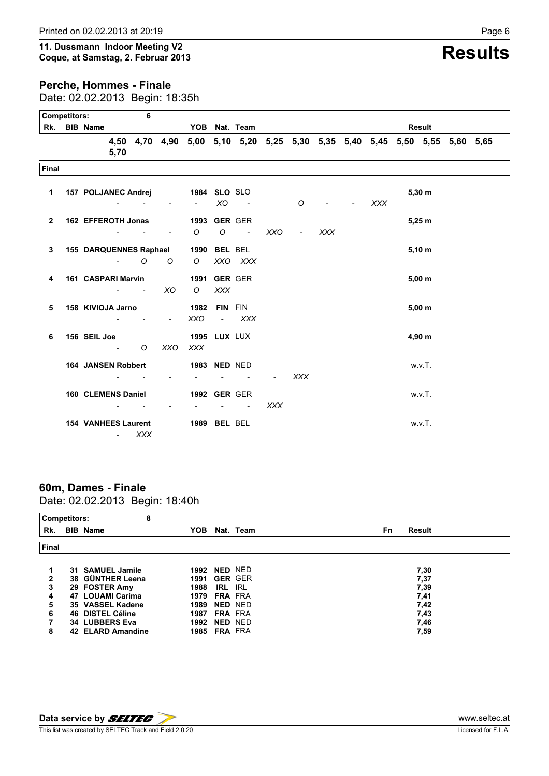### **Perche, Hommes - Finale**

Date: 02.02.2013 Begin: 18:35h

| <b>Competitors:</b><br>6 |  |                            |                                   |                                                             |                        |                     |                                   |                                                                            |            |                |            |            |               |  |
|--------------------------|--|----------------------------|-----------------------------------|-------------------------------------------------------------|------------------------|---------------------|-----------------------------------|----------------------------------------------------------------------------|------------|----------------|------------|------------|---------------|--|
|                          |  | Rk. BIB Name               |                                   |                                                             |                        |                     |                                   | YOB Nat. Team                                                              |            |                |            |            | <b>Result</b> |  |
|                          |  |                            | 5,70                              |                                                             |                        |                     |                                   | 4,50 4,70 4,90 5,00 5,10 5,20 5,25 5,30 5,35 5,40 5,45 5,50 5,55 5,60 5,65 |            |                |            |            |               |  |
| Final                    |  |                            |                                   |                                                             |                        |                     |                                   |                                                                            |            |                |            |            |               |  |
| 1                        |  |                            |                                   | 157 POLJANEC Andrej                                         |                        | <b>1984 SLO SLO</b> | XO.                               | $\sim$                                                                     |            | $\circ$        |            | <b>XXX</b> | $5,30 \; m$   |  |
|                          |  |                            |                                   |                                                             |                        |                     |                                   |                                                                            |            |                |            |            |               |  |
| $\mathbf{2}$             |  | 162 EFFEROTH Jonas         |                                   |                                                             |                        | $\circ$             | <b>1993 GER GER</b><br>$\circ$    | $\sim 100$ km s $^{-1}$                                                    | XXO        | $\blacksquare$ | <b>XXX</b> |            | 5,25 m        |  |
| 3                        |  |                            |                                   |                                                             | 155 DARQUENNES Raphael |                     | 1990 BEL BEL                      |                                                                            |            |                |            |            | 5,10 m        |  |
|                          |  |                            |                                   | $\sim$ 0                                                    | $\circ$                | $\circ$             |                                   | XXO XXX                                                                    |            |                |            |            |               |  |
| 4                        |  | 161 CASPARI Marvin         |                                   | $\mathcal{L}_{\text{max}}$ , and $\mathcal{L}_{\text{max}}$ | XO.                    | $\circ$             | <b>1991 GER GER</b><br><b>XXX</b> |                                                                            |            |                |            |            | $5,00 \; m$   |  |
| 5                        |  | 158 KIVIOJA Jarno          | $\sim$                            |                                                             | $\blacksquare$         | 1982<br><b>XXO</b>  | FIN FIN<br>$\blacksquare$         | XXX                                                                        |            |                |            |            | $5,00 \; m$   |  |
| 6                        |  | 156 SEIL Joe               | <b>Contract Contract Contract</b> | $\circ$                                                     | XXO                    | XXX                 | <b>1995 LUX LUX</b>               |                                                                            |            |                |            |            | 4,90 m        |  |
|                          |  | <b>164 JANSEN Robbert</b>  |                                   |                                                             |                        |                     | 1983 NED NED                      |                                                                            |            | <b>XXX</b>     |            |            | w.v.T.        |  |
|                          |  | <b>160 CLEMENS Daniel</b>  |                                   |                                                             |                        |                     | <b>1992 GER GER</b>               |                                                                            | <b>XXX</b> |                |            |            | w.v.T.        |  |
|                          |  | <b>154 VANHEES Laurent</b> |                                   | $-$ XXX                                                     |                        |                     | 1989 BEL BEL                      |                                                                            |            |                |            |            | w.v.T.        |  |

### **60m, Dames - Finale** Date: 02.02.2013 Begin: 18:40h

| <b>Competitors:</b> |    | 8                                 |                     |                       |            |    |               |
|---------------------|----|-----------------------------------|---------------------|-----------------------|------------|----|---------------|
| Rk.                 |    | <b>BIB Name</b>                   | YOB                 |                       | Nat. Team  | Fn | <b>Result</b> |
| <b>Final</b>        |    |                                   |                     |                       |            |    |               |
|                     |    | 31 SAMUEL Jamile                  | 1992                | NED NED               |            |    | 7,30          |
| 2<br>3              |    | 38 GÜNTHER Leena<br>29 FOSTER Amy | 1991<br>1988        | <b>GER GER</b><br>IRL | <b>IRL</b> |    | 7,37<br>7,39  |
| 4                   | 47 | <b>LOUAMI Carima</b>              | 1979                | <b>FRA FRA</b>        |            |    | 7,41          |
| 5                   |    | 35 VASSEL Kadene                  | 1989                | NED NED               |            |    | 7,42          |
| 6                   |    | 46 DISTEL Céline                  | 1987                | <b>FRA FRA</b>        |            |    | 7,43          |
|                     |    | 34 LUBBERS Eva                    | 1992                | NED NED               |            |    | 7,46          |
| 8                   |    | 42 ELARD Amandine                 | <b>1985 FRA FRA</b> |                       |            |    | 7,59          |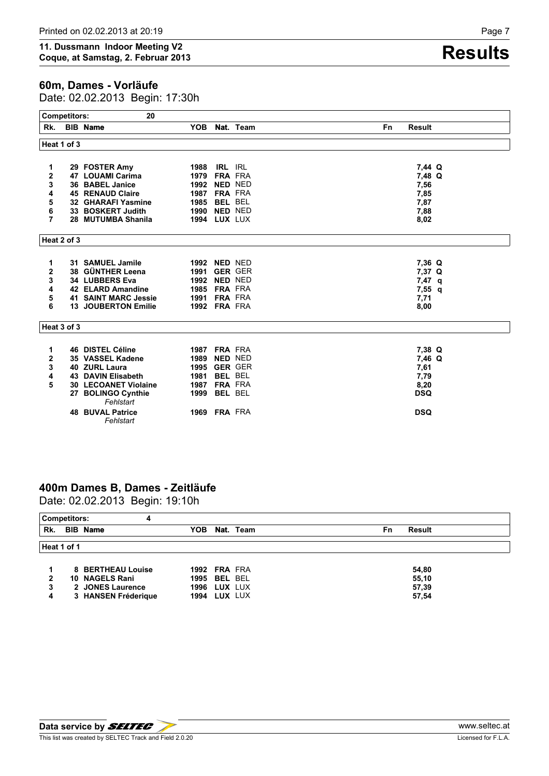### **60m, Dames - Vorläufe**

Date: 02.02.2013 Begin: 17:30h

|                | <b>Competitors:</b> | 20                                |                     |                |           |                            |
|----------------|---------------------|-----------------------------------|---------------------|----------------|-----------|----------------------------|
| Rk.            |                     | <b>BIB Name</b>                   | <b>YOB</b>          |                | Nat. Team | <b>Fn</b><br><b>Result</b> |
|                | Heat 1 of 3         |                                   |                     |                |           |                            |
|                |                     |                                   |                     |                |           |                            |
| 1              |                     | 29 FOSTER Amy                     | 1988                | <b>IRL IRL</b> |           | 7,44 Q                     |
| 2              |                     | 47 LOUAMI Carima                  | <b>1979 FRA FRA</b> |                |           | 7,48 Q                     |
| 3              |                     | 36 BABEL Janice                   | 1992                | <b>NED NED</b> |           | 7,56                       |
| 4              |                     | <b>45 RENAUD Claire</b>           | 1987                | <b>FRA FRA</b> |           | 7,85                       |
| 5              |                     | <b>32 GHARAFI Yasmine</b>         | 1985                | <b>BEL BEL</b> |           | 7,87                       |
| 6              |                     | 33 BOSKERT Judith                 | <b>1990 NED NED</b> |                |           | 7,88                       |
| $\overline{7}$ |                     | 28 MUTUMBA Shanila                | <b>1994 LUX LUX</b> |                |           | 8,02                       |
|                | Heat 2 of 3         |                                   |                     |                |           |                            |
| 1              |                     | 31 SAMUEL Jamile                  | <b>1992 NED NED</b> |                |           | 7,36 Q                     |
| 2              |                     | 38 GÜNTHER Leena                  | 1991                | <b>GER GER</b> |           | 7,37 Q                     |
| 3              |                     | 34 LUBBERS Eva                    | 1992                | <b>NED NED</b> |           | $7,47$ q                   |
| 4              |                     | 42 ELARD Amandine                 | 1985                | <b>FRA FRA</b> |           | 7,55 q                     |
| 5              |                     | <b>41 SAINT MARC Jessie</b>       | 1991 FRA FRA        |                |           | 7,71                       |
| 6              |                     | <b>13 JOUBERTON Emilie</b>        | <b>1992 FRA FRA</b> |                |           | 8,00                       |
|                | Heat 3 of 3         |                                   |                     |                |           |                            |
| 1              |                     | <b>46 DISTEL Céline</b>           | 1987 FRA FRA        |                |           | 7,38 Q                     |
| $\mathbf 2$    |                     | 35 VASSEL Kadene                  | 1989                | <b>NED NED</b> |           | 7,46 Q                     |
| 3              |                     | 40 ZURL Laura                     | 1995                | <b>GER GER</b> |           | 7,61                       |
| 4              |                     | <b>43 DAVIN Elisabeth</b>         | 1981                | <b>BEL BEL</b> |           | 7,79                       |
| 5              |                     | <b>30 LECOANET Violaine</b>       | 1987                | <b>FRA FRA</b> |           | 8,20                       |
|                |                     | 27 BOLINGO Cynthie                | 1999 BEL BEL        |                |           | <b>DSQ</b>                 |
|                |                     | Fehlstart                         |                     |                |           |                            |
|                | 48                  | <b>BUVAL Patrice</b><br>Fehlstart | 1969 FRA FRA        |                |           | <b>DSQ</b>                 |

# **400m Dames B, Dames - Zeitläufe**

Date: 02.02.2013 Begin: 19:10h

| <b>Competitors:</b> |                     |     |                     |    |        |
|---------------------|---------------------|-----|---------------------|----|--------|
| Rk.                 | <b>BIB Name</b>     | YOB | Nat. Team           | Fn | Result |
|                     |                     |     |                     |    |        |
| Heat 1 of 1         |                     |     |                     |    |        |
|                     |                     |     |                     |    |        |
|                     | 8 BERTHEAU Louise   |     | <b>1992 FRA FRA</b> |    | 54,80  |
| 2                   | 10 NAGELS Rani      |     | <b>1995 BEL BEL</b> |    | 55,10  |
| 3                   | 2 JONES Laurence    |     | <b>1996 LUX LUX</b> |    | 57,39  |
| 4                   | 3 HANSEN Fréderique |     | <b>1994 LUX LUX</b> |    | 57,54  |
|                     |                     |     |                     |    |        |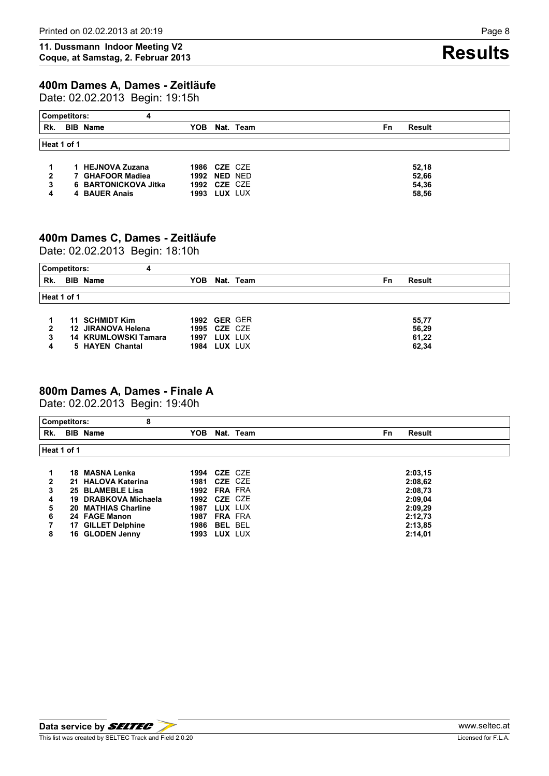## **400m Dames A, Dames - Zeitläufe**

Date: 02.02.2013 Begin: 19:15h

| <b>Competitors:</b> | 4                    |            |                     |    |               |
|---------------------|----------------------|------------|---------------------|----|---------------|
| Rk.                 | <b>BIB Name</b>      | <b>YOB</b> | Nat. Team           | Fn | <b>Result</b> |
| Heat 1 of 1         |                      |            |                     |    |               |
|                     |                      |            |                     |    |               |
|                     | 1 HEJNOVA Zuzana     |            | <b>1986 CZE CZE</b> |    | 52.18         |
| 2                   | 7 GHAFOOR Madiea     |            | <b>1992 NED NED</b> |    | 52,66         |
|                     | 6 BARTONICKOVA Jitka |            | <b>1992 CZE CZE</b> |    | 54,36         |
|                     | 4 BAUER Anais        | 1993       | LUX LUX             |    | 58.56         |

# **400m Dames C, Dames - Zeitläufe**

Date: 02.02.2013 Begin: 18:10h

| <b>Competitors:</b> | 4                    |      |                     |    |               |
|---------------------|----------------------|------|---------------------|----|---------------|
| Rk.                 | <b>BIB Name</b>      | YOB  | Nat. Team           | Fn | <b>Result</b> |
|                     |                      |      |                     |    |               |
| Heat 1 of 1         |                      |      |                     |    |               |
|                     |                      |      |                     |    |               |
|                     | 11 SCHMIDT Kim       |      | <b>1992 GER GER</b> |    | 55.77         |
| 2                   | 12 JIRANOVA Helena   |      | <b>1995 CZE CZE</b> |    | 56.29         |
| 3                   | 14 KRUMLOWSKI Tamara | 1997 | LUX LUX             |    | 61.22         |
| 4                   | 5 HAYEN Chantal      |      | <b>1984 LUX LUX</b> |    | 62,34         |

## **800m Dames A, Dames - Finale A**

Date: 02.02.2013 Begin: 19:40h

|              | 8<br><b>Competitors:</b> |                        |                            |
|--------------|--------------------------|------------------------|----------------------------|
| Rk.          | <b>BIB</b> Name          | YOB.<br>Nat. Team      | <b>Fn</b><br><b>Result</b> |
|              | Heat 1 of 1              |                        |                            |
|              | 18 MASNA Lenka           | <b>1994 CZE CZE</b>    | 2:03,15                    |
| $\mathbf{2}$ | 21 HALOVA Katerina       | <b>1981 CZE CZE</b>    | 2:08.62                    |
| 3            | 25 BLAMEBLE Lisa         | <b>1992 FRA FRA</b>    | 2:08,73                    |
| 4            | 19 DRABKOVA Michaela     | <b>1992 CZE CZE</b>    | 2:09.04                    |
| 5            | 20 MATHIAS Charline      | LUX LUX<br>1987        | 2:09,29                    |
| 6            | 24 FAGE Manon            | <b>FRA FRA</b><br>1987 | 2:12,73                    |
|              | 17 GILLET Delphine       | <b>1986 BEL BEL</b>    | 2:13,85                    |
| 8            | 16 GLODEN Jenny          | LUX LUX<br>1993        | 2:14,01                    |